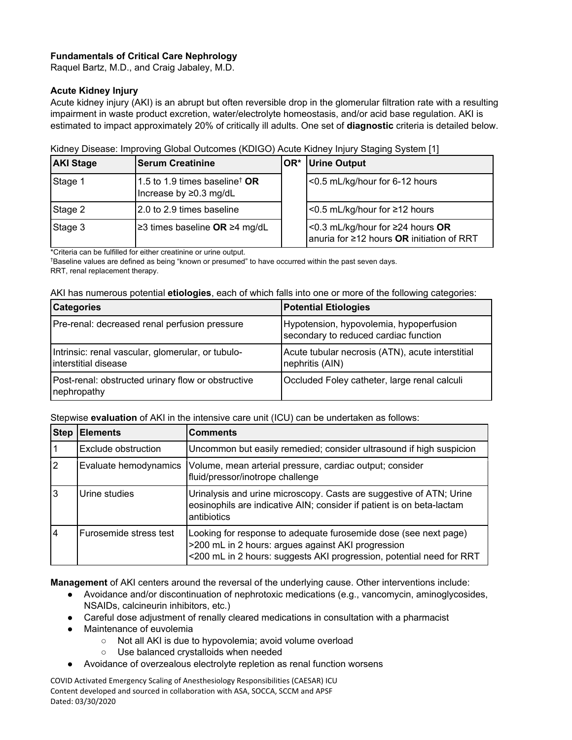# **Fundamentals of Critical Care Nephrology**

Raquel Bartz, M.D., and Craig Jabaley, M.D.

#### **Acute Kidney Injury**

Acute kidney injury (AKI) is an abrupt but often reversible drop in the glomerular filtration rate with a resulting impairment in waste product excretion, water/electrolyte homeostasis, and/or acid base regulation. AKI is estimated to impact approximately 20% of critically ill adults. One set of **diagnostic** criteria is detailed below.

| Kidney Disease: Improving Global Outcomes (KDIGO) Acute Kidney Injury Staging System [1] |
|------------------------------------------------------------------------------------------|
|------------------------------------------------------------------------------------------|

| <b>AKI Stage</b> | <b>Serum Creatinine</b>                                                                       | OR* Urine Output                                                                          |
|------------------|-----------------------------------------------------------------------------------------------|-------------------------------------------------------------------------------------------|
| Stage 1          | $^{\dagger}$ 1.5 to 1.9 times baseline $^{\dagger}$ <b>OR</b><br>Increase by $\geq$ 0.3 mg/dL | <0.5 mL/kg/hour for 6-12 hours                                                            |
| Stage 2          | 2.0 to 2.9 times baseline                                                                     | $\leq$ 0.5 mL/kg/hour for ≥12 hours                                                       |
| Stage 3          | ≥3 times baseline OR ≥4 mg/dL                                                                 | $\leq$ 0.3 mL/kg/hour for ≥24 hours OR<br>anuria for $\geq$ 12 hours OR initiation of RRT |

\*Criteria can be fulfilled for either creatinine or urine output.

† Baseline values are defined as being "known or presumed" to have occurred within the past seven days. RRT, renal replacement therapy.

|  |  | AKI has numerous potential etiologies, each of which falls into one or more of the following categories: |  |
|--|--|----------------------------------------------------------------------------------------------------------|--|
|  |  |                                                                                                          |  |

| <b>Categories</b>                                                         | <b>Potential Etiologies</b>                                                      |  |
|---------------------------------------------------------------------------|----------------------------------------------------------------------------------|--|
| Pre-renal: decreased renal perfusion pressure                             | Hypotension, hypovolemia, hypoperfusion<br>secondary to reduced cardiac function |  |
| Intrinsic: renal vascular, glomerular, or tubulo-<br>Interstitial disease | Acute tubular necrosis (ATN), acute interstitial<br>nephritis (AIN)              |  |
| Post-renal: obstructed urinary flow or obstructive<br>nephropathy         | Occluded Foley catheter, large renal calculi                                     |  |

Stepwise **evaluation** of AKI in the intensive care unit (ICU) can be undertaken as follows:

| <b>Step</b> | <b>Elements</b>        | <b>Comments</b>                                                                                                                                                                                |
|-------------|------------------------|------------------------------------------------------------------------------------------------------------------------------------------------------------------------------------------------|
|             | Exclude obstruction    | Uncommon but easily remedied; consider ultrasound if high suspicion                                                                                                                            |
| 2           | Evaluate hemodynamics  | Volume, mean arterial pressure, cardiac output; consider<br>fluid/pressor/inotrope challenge                                                                                                   |
| 3           | Urine studies          | Urinalysis and urine microscopy. Casts are suggestive of ATN; Urine<br>eosinophils are indicative AIN; consider if patient is on beta-lactam<br>antibiotics                                    |
| 14          | Furosemide stress test | Looking for response to adequate furosemide dose (see next page)<br>>200 mL in 2 hours: argues against AKI progression<br><200 mL in 2 hours: suggests AKI progression, potential need for RRT |

**Management** of AKI centers around the reversal of the underlying cause. Other interventions include:

- Avoidance and/or discontinuation of nephrotoxic medications (e.g., vancomycin, aminoglycosides, NSAIDs, calcineurin inhibitors, etc.)
- Careful dose adjustment of renally cleared medications in consultation with a pharmacist
- Maintenance of euvolemia
	- Not all AKI is due to hypovolemia; avoid volume overload
	- Use balanced crystalloids when needed
- Avoidance of overzealous electrolyte repletion as renal function worsens

COVID Activated Emergency Scaling of Anesthesiology Responsibilities (CAESAR) ICU Content developed and sourced in collaboration with ASA, SOCCA, SCCM and APSF Dated: 03/30/2020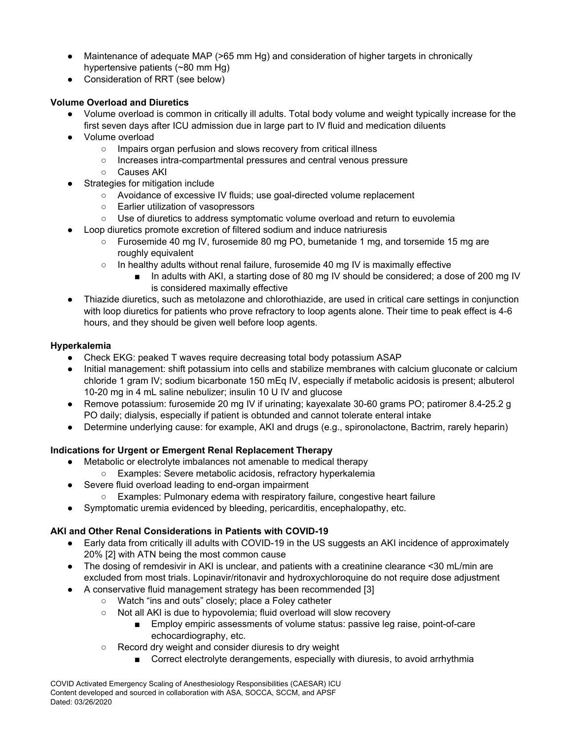- Maintenance of adequate MAP (>65 mm Hg) and consideration of higher targets in chronically hypertensive patients (~80 mm Hg)
- Consideration of RRT (see below)

# **Volume Overload and Diuretics**

- Volume overload is common in critically ill adults. Total body volume and weight typically increase for the first seven days after ICU admission due in large part to IV fluid and medication diluents
- Volume overload
	- o Impairs organ perfusion and slows recovery from critical illness
	- Increases intra-compartmental pressures and central venous pressure
	- Causes AKI
- Strategies for mitigation include
	- Avoidance of excessive IV fluids; use goal-directed volume replacement
	- Earlier utilization of vasopressors
	- Use of diuretics to address symptomatic volume overload and return to euvolemia
- Loop diuretics promote excretion of filtered sodium and induce natriuresis
	- Furosemide 40 mg IV, furosemide 80 mg PO, bumetanide 1 mg, and torsemide 15 mg are roughly equivalent
	- In healthy adults without renal failure, furosemide 40 mg IV is maximally effective
		- In adults with AKI, a starting dose of 80 mg IV should be considered; a dose of 200 mg IV is considered maximally effective
- Thiazide diuretics, such as metolazone and chlorothiazide, are used in critical care settings in conjunction with loop diuretics for patients who prove refractory to loop agents alone. Their time to peak effect is 4-6 hours, and they should be given well before loop agents.

### **Hyperkalemia**

- Check EKG: peaked T waves require decreasing total body potassium ASAP
- Initial management: shift potassium into cells and stabilize membranes with calcium gluconate or calcium chloride 1 gram IV; sodium bicarbonate 150 mEq IV, especially if metabolic acidosis is present; albuterol 10-20 mg in 4 mL saline nebulizer; insulin 10 U IV and glucose
- Remove potassium: furosemide 20 mg IV if urinating; kayexalate 30-60 grams PO; patiromer 8.4-25.2 g PO daily; dialysis, especially if patient is obtunded and cannot tolerate enteral intake
- Determine underlying cause: for example, AKI and drugs (e.g., spironolactone, Bactrim, rarely heparin)

# **Indications for Urgent or Emergent Renal Replacement Therapy**

- Metabolic or electrolyte imbalances not amenable to medical therapy
	- Examples: Severe metabolic acidosis, refractory hyperkalemia
- Severe fluid overload leading to end-organ impairment
	- Examples: Pulmonary edema with respiratory failure, congestive heart failure
- Symptomatic uremia evidenced by bleeding, pericarditis, encephalopathy, etc.

# **AKI and Other Renal Considerations in Patients with COVID-19**

- Early data from critically ill adults with COVID-19 in the US suggests an AKI incidence of approximately 20% [2] with ATN being the most common cause
- The dosing of remdesivir in AKI is unclear, and patients with a creatinine clearance <30 mL/min are excluded from most trials. Lopinavir/ritonavir and hydroxychloroquine do not require dose adjustment
- A conservative fluid management strategy has been recommended [3]
	- Watch "ins and outs" closely; place a Foley catheter
	- Not all AKI is due to hypovolemia; fluid overload will slow recovery
		- Employ empiric assessments of volume status: passive leg raise, point-of-care echocardiography, etc.
	- Record dry weight and consider diuresis to dry weight
		- Correct electrolyte derangements, especially with diuresis, to avoid arrhythmia